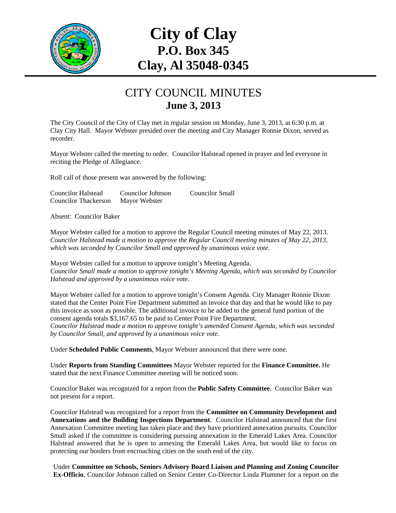

# **City of Clay P.O. Box 345 Clay, Al 35048-0345**

#### CITY COUNCIL MINUTES **June 3, 2013**

The City Council of the City of Clay met in regular session on Monday, June 3, 2013, at 6:30 p.m. at Clay City Hall. Mayor Webster presided over the meeting and City Manager Ronnie Dixon, served as recorder.

Mayor Webster called the meeting to order. Councilor Halstead opened in prayer and led everyone in reciting the Pledge of Allegiance.

Roll call of those present was answered by the following:

| <b>Councilor Halstead</b>   | Councilor Johnson | Councilor Small |
|-----------------------------|-------------------|-----------------|
| <b>Councilor Thackerson</b> | Mayor Webster     |                 |

Absent: Councilor Baker

Mayor Webster called for a motion to approve the Regular Council meeting minutes of May 22, 2013. *Councilor Halstead made a motion to approve the Regular Council meeting minutes of May 22, 2013, which was seconded by Councilor Small and approved by unanimous voice vote.* 

Mayor Webster called for a motion to approve tonight's Meeting Agenda. *Councilor Small made a motion to approve tonight's Meeting Agenda, which was seconded by Councilor Halstead and approved by a unanimous voice vote.* 

Mayor Webster called for a motion to approve tonight's Consent Agenda. City Manager Ronnie Dixon stated that the Center Point Fire Department submitted an invoice that day and that he would like to pay this invoice as soon as possible. The additional invoice to be added to the general fund portion of the consent agenda totals \$3,167.65 to be paid to Center Point Fire Department.

*Councilor Halstead made a motion to approve tonight's amended Consent Agenda, which was seconded by Councilor Small, and approved by a unanimous voice vote.* 

Under **Scheduled Public Comments**, Mayor Webster announced that there were none.

Under **Reports from Standing Committees** Mayor Webster reported for the **Finance Committee.** He stated that the next Finance Committee meeting will be noticed soon.

Councilor Baker was recognized for a report from the **Public Safety Committee**. Councilor Baker was not present for a report.

Councilor Halstead was recognized for a report from the **Committee on Community Development and Annexations and the Building Inspections Department**. Councilor Halstead announced that the first Annexation Committee meeting has taken place and they have prioritized annexation pursuits. Councilor Small asked if the committee is considering pursuing annexation in the Emerald Lakes Area. Councilor Halstead answered that he is open to annexing the Emerald Lakes Area, but would like to focus on protecting our borders from encroaching cities on the south end of the city.

Under **Committee on Schools, Seniors Advisory Board Liaison and Planning and Zoning Councilor Ex-Officio**, Councilor Johnson called on Senior Center Co-Director Linda Plummer for a report on the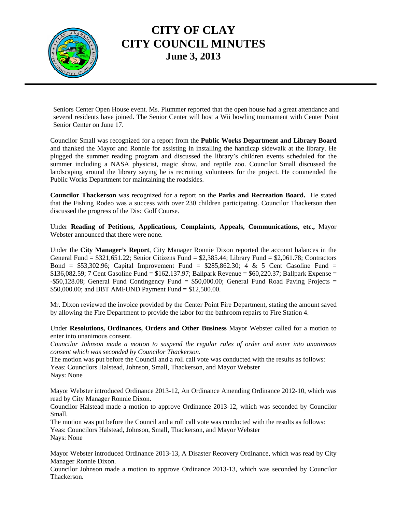

### **CITY OF CLAY CITY COUNCIL MINUTES June 3, 2013**

Seniors Center Open House event. Ms. Plummer reported that the open house had a great attendance and several residents have joined. The Senior Center will host a Wii bowling tournament with Center Point Senior Center on June 17.

Councilor Small was recognized for a report from the **Public Works Department and Library Board** and thanked the Mayor and Ronnie for assisting in installing the handicap sidewalk at the library. He plugged the summer reading program and discussed the library's children events scheduled for the summer including a NASA physicist, magic show, and reptile zoo. Councilor Small discussed the landscaping around the library saying he is recruiting volunteers for the project. He commended the Public Works Department for maintaining the roadsides.

**Councilor Thackerson** was recognized for a report on the **Parks and Recreation Board.** He stated that the Fishing Rodeo was a success with over 230 children participating. Councilor Thackerson then discussed the progress of the Disc Golf Course.

Under **Reading of Petitions, Applications, Complaints, Appeals, Communications, etc.,** Mayor Webster announced that there were none.

Under the **City Manager's Report**, City Manager Ronnie Dixon reported the account balances in the General Fund = \$321,651.22; Senior Citizens Fund = \$2,385.44; Library Fund = \$2,061.78; Contractors Bond = \$53,302.96; Capital Improvement Fund =  $$285,862.30$ ; 4 & 5 Cent Gasoline Fund = \$136,082.59; 7 Cent Gasoline Fund = \$162,137.97; Ballpark Revenue = \$60,220.37; Ballpark Expense = -\$50,128.08; General Fund Contingency Fund = \$50,000.00; General Fund Road Paving Projects = \$50,000.00; and BBT AMFUND Payment Fund = \$12,500.00.

Mr. Dixon reviewed the invoice provided by the Center Point Fire Department, stating the amount saved by allowing the Fire Department to provide the labor for the bathroom repairs to Fire Station 4.

Under **Resolutions, Ordinances, Orders and Other Business** Mayor Webster called for a motion to enter into unanimous consent.

*Councilor Johnson made a motion to suspend the regular rules of order and enter into unanimous consent which was seconded by Councilor Thackerson.* 

The motion was put before the Council and a roll call vote was conducted with the results as follows: Yeas: Councilors Halstead, Johnson, Small, Thackerson, and Mayor Webster Nays: None

Mayor Webster introduced Ordinance 2013-12, An Ordinance Amending Ordinance 2012-10, which was read by City Manager Ronnie Dixon.

Councilor Halstead made a motion to approve Ordinance 2013-12, which was seconded by Councilor Small.

The motion was put before the Council and a roll call vote was conducted with the results as follows: Yeas: Councilors Halstead, Johnson, Small, Thackerson, and Mayor Webster Nays: None

Mayor Webster introduced Ordinance 2013-13, A Disaster Recovery Ordinance, which was read by City Manager Ronnie Dixon.

Councilor Johnson made a motion to approve Ordinance 2013-13, which was seconded by Councilor Thackerson.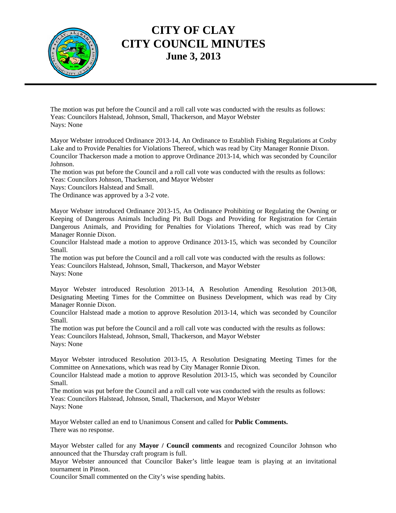

### **CITY OF CLAY CITY COUNCIL MINUTES June 3, 2013**

The motion was put before the Council and a roll call vote was conducted with the results as follows: Yeas: Councilors Halstead, Johnson, Small, Thackerson, and Mayor Webster Nays: None

Mayor Webster introduced Ordinance 2013-14, An Ordinance to Establish Fishing Regulations at Cosby Lake and to Provide Penalties for Violations Thereof, which was read by City Manager Ronnie Dixon. Councilor Thackerson made a motion to approve Ordinance 2013-14, which was seconded by Councilor Johnson.

The motion was put before the Council and a roll call vote was conducted with the results as follows: Yeas: Councilors Johnson, Thackerson, and Mayor Webster

Nays: Councilors Halstead and Small.

The Ordinance was approved by a 3-2 vote.

Mayor Webster introduced Ordinance 2013-15, An Ordinance Prohibiting or Regulating the Owning or Keeping of Dangerous Animals Including Pit Bull Dogs and Providing for Registration for Certain Dangerous Animals, and Providing for Penalties for Violations Thereof, which was read by City Manager Ronnie Dixon.

Councilor Halstead made a motion to approve Ordinance 2013-15, which was seconded by Councilor Small.

The motion was put before the Council and a roll call vote was conducted with the results as follows: Yeas: Councilors Halstead, Johnson, Small, Thackerson, and Mayor Webster Nays: None

Mayor Webster introduced Resolution 2013-14, A Resolution Amending Resolution 2013-08, Designating Meeting Times for the Committee on Business Development, which was read by City Manager Ronnie Dixon.

Councilor Halstead made a motion to approve Resolution 2013-14, which was seconded by Councilor Small.

The motion was put before the Council and a roll call vote was conducted with the results as follows: Yeas: Councilors Halstead, Johnson, Small, Thackerson, and Mayor Webster

Nays: None

Mayor Webster introduced Resolution 2013-15, A Resolution Designating Meeting Times for the Committee on Annexations, which was read by City Manager Ronnie Dixon.

Councilor Halstead made a motion to approve Resolution 2013-15, which was seconded by Councilor Small.

The motion was put before the Council and a roll call vote was conducted with the results as follows: Yeas: Councilors Halstead, Johnson, Small, Thackerson, and Mayor Webster Nays: None

Mayor Webster called an end to Unanimous Consent and called for **Public Comments.**  There was no response.

Mayor Webster called for any **Mayor / Council comments** and recognized Councilor Johnson who announced that the Thursday craft program is full.

Mayor Webster announced that Councilor Baker's little league team is playing at an invitational tournament in Pinson.

Councilor Small commented on the City's wise spending habits.